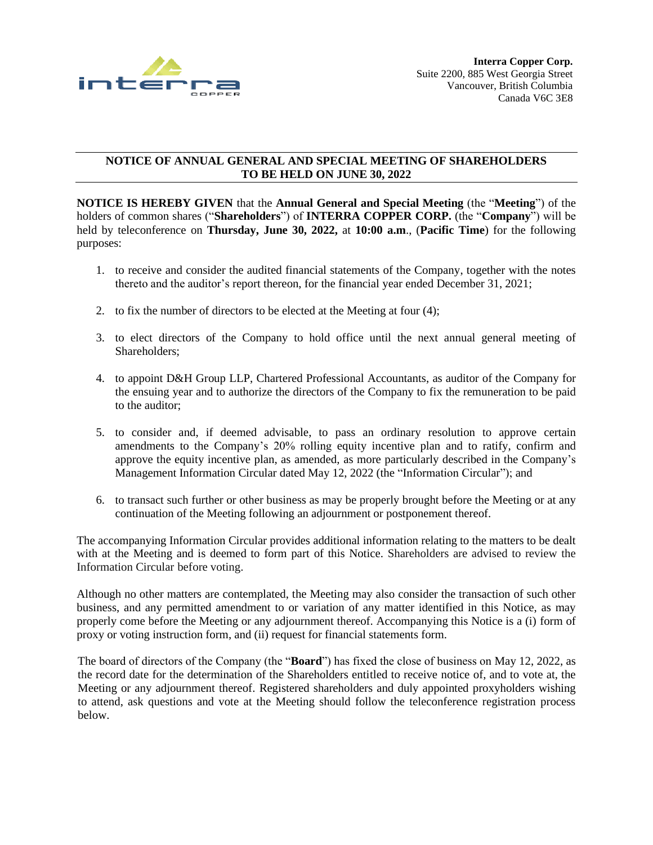

## **NOTICE OF ANNUAL GENERAL AND SPECIAL MEETING OF SHAREHOLDERS TO BE HELD ON JUNE 30, 2022**

**NOTICE IS HEREBY GIVEN** that the **Annual General and Special Meeting** (the "**Meeting**") of the holders of common shares ("**Shareholders**") of **INTERRA COPPER CORP.** (the "**Company**") will be held by teleconference on **Thursday, June 30, 2022,** at **10:00 a.m**., (**Pacific Time**) for the following purposes:

- 1. to receive and consider the audited financial statements of the Company, together with the notes thereto and the auditor's report thereon, for the financial year ended December 31, 2021;
- 2. to fix the number of directors to be elected at the Meeting at four (4);
- 3. to elect directors of the Company to hold office until the next annual general meeting of Shareholders;
- 4. to appoint D&H Group LLP, Chartered Professional Accountants, as auditor of the Company for the ensuing year and to authorize the directors of the Company to fix the remuneration to be paid to the auditor;
- 5. to consider and, if deemed advisable, to pass an ordinary resolution to approve certain amendments to the Company's 20% rolling equity incentive plan and to ratify, confirm and approve the equity incentive plan, as amended, as more particularly described in the Company's Management Information Circular dated May 12, 2022 (the "Information Circular"); and
- 6. to transact such further or other business as may be properly brought before the Meeting or at any continuation of the Meeting following an adjournment or postponement thereof.

The accompanying Information Circular provides additional information relating to the matters to be dealt with at the Meeting and is deemed to form part of this Notice. Shareholders are advised to review the Information Circular before voting.

Although no other matters are contemplated, the Meeting may also consider the transaction of such other business, and any permitted amendment to or variation of any matter identified in this Notice, as may properly come before the Meeting or any adjournment thereof. Accompanying this Notice is a (i) form of proxy or voting instruction form, and (ii) request for financial statements form.

The board of directors of the Company (the "**Board**") has fixed the close of business on May 12, 2022, as the record date for the determination of the Shareholders entitled to receive notice of, and to vote at, the Meeting or any adjournment thereof. Registered shareholders and duly appointed proxyholders wishing to attend, ask questions and vote at the Meeting should follow the teleconference registration process below.